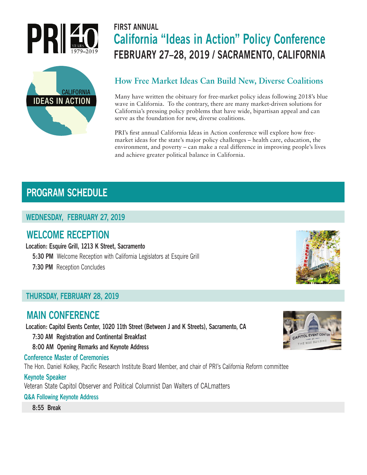



# **FIRST ANNUAL California "Ideas in Action" Policy Conference FEBRUARY 27–28, 2019 / SACRAMENTO, CALIFORNIA**

## **How Free Market Ideas Can Build New, Diverse Coalitions**

Many have written the obituary for free-market policy ideas following 2018's blue wave in California. To the contrary, there are many market-driven solutions for California's pressing policy problems that have wide, bipartisan appeal and can serve as the foundation for new, diverse coalitions.

PRI's first annual California Ideas in Action conference will explore how freemarket ideas for the state's major policy challenges – health care, education, the environment, and poverty – can make a real difference in improving people's lives and achieve greater political balance in California.

## **PROGRAM SCHEDULE**

## **WEDNESDAY, FEBRUARY 27, 2019**

## **WELCOME RECEPTION**

 **Location: Esquire Grill, 1213 K Street, Sacramento**

**5:30 PM** Welcome Reception with California Legislators at Esquire Grill

 **7:30 PM** Reception Concludes

## **THURSDAY, FEBRUARY 28, 2019**

## **MAIN CONFERENCE**

 **Location: Capitol Events Center, 1020 11th Street (Between J and K Streets), Sacramento, CA**

 **7:30 AM Registration and Continental Breakfast**

 **8:00 AM Opening Remarks and Keynote Address**

#### **Conference Master of Ceremonies**

The Hon. Daniel Kolkey, Pacific Research Institute Board Member, and chair of PRI's California Reform committee

#### **Keynote Speaker**

Veteran State Capitol Observer and Political Columnist Dan Walters of CALmatters

#### **Q&A Following Keynote Address**

 **8:55 Break**



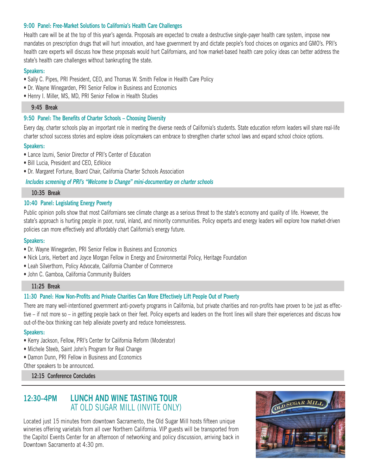#### **9:00 Panel: Free-Market Solutions to California's Health Care Challenges**

Health care will be at the top of this year's agenda. Proposals are expected to create a destructive single-payer health care system, impose new mandates on prescription drugs that will hurt innovation, and have government try and dictate people's food choices on organics and GMO's. PRI's health care experts will discuss how these proposals would hurt Californians, and how market-based health care policy ideas can better address the state's health care challenges without bankrupting the state.

#### **Speakers:**

- Sally C. Pipes, PRI President, CEO, and Thomas W. Smith Fellow in Health Care Policy
- Dr. Wayne Winegarden, PRI Senior Fellow in Business and Economics
- Henry I. Miller, MS, MD, PRI Senior Fellow in Health Studies

#### **9:45 Break**

#### **9:50 Panel: The Benefits of Charter Schools – Choosing Diversity**

Every day, charter schools play an important role in meeting the diverse needs of California's students. State education reform leaders will share real-life charter school success stories and explore ideas policymakers can embrace to strengthen charter school laws and expand school choice options.

#### **Speakers:**

- Lance Izumi, Senior Director of PRI's Center of Education
- Bill Lucia, President and CEO, EdVoice
- Dr. Margaret Fortune, Board Chair, California Charter Schools Association

#### *Includes screening of PRI's "Welcome to Change" mini-documentary on charter schools*

#### **10:35 Break**

#### **10:40 Panel: Legislating Energy Poverty**

Public opinion polls show that most Californians see climate change as a serious threat to the state's economy and quality of life. However, the state's approach is hurting people in poor, rural, inland, and minority communities. Policy experts and energy leaders will explore how market-driven policies can more effectively and affordably chart California's energy future.

#### **Speakers:**

- Dr. Wayne Winegarden, PRI Senior Fellow in Business and Economics
- Nick Loris, Herbert and Joyce Morgan Fellow in Energy and Environmental Policy, Heritage Foundation
- Leah Silverthorn, Policy Advocate, California Chamber of Commerce
- John C. Gamboa, California Community Builders

#### **11:25 Break**

#### **11:30 Panel: How Non-Profits and Private Charities Can More Effectively Lift People Out of Poverty**

There are many well-intentioned government anti-poverty programs in California, but private charities and non-profits have proven to be just as effective – if not more so – in getting people back on their feet. Policy experts and leaders on the front lines will share their experiences and discuss how out-of-the-box thinking can help alleviate poverty and reduce homelessness.

#### **Speakers:**

- Kerry Jackson, Fellow, PRI's Center for California Reform (Moderator)
- Michele Steeb, Saint John's Program for Real Change
- Damon Dunn, PRI Fellow in Business and Economics

Other speakers to be announced.

#### **12:15 Conference Concludes**

## **12:30–4PM LUNCH AND WINE TASTING TOUR**  AT OLD SUGAR MILL (INVITE ONLY)

Located just 15 minutes from downtown Sacramento, the Old Sugar Mill hosts fifteen unique wineries offering varietals from all over Northern California. VIP guests will be transported from the Capitol Events Center for an afternoon of networking and policy discussion, arriving back in Downtown Sacramento at 4:30 pm.

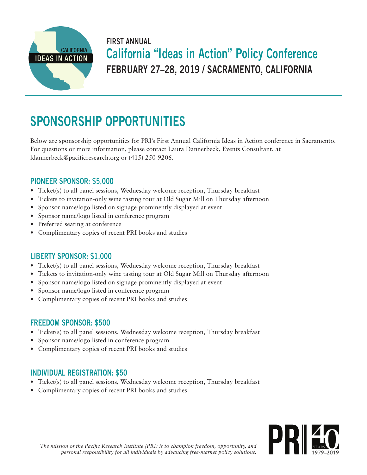

# **FIRST ANNUAL California "Ideas in Action" Policy Conference FEBRUARY 27–28, 2019 / SACRAMENTO, CALIFORNIA**

# **SPONSORSHIP OPPORTUNITIES**

Below are sponsorship opportunities for PRI's First Annual California Ideas in Action conference in Sacramento. For questions or more information, please contact Laura Dannerbeck, Events Consultant, at ldannerbeck@pacificresearch.org or (415) 250-9206.

## **PIONEER SPONSOR: \$5,000**

- Ticket(s) to all panel sessions, Wednesday welcome reception, Thursday breakfast
- Tickets to invitation-only wine tasting tour at Old Sugar Mill on Thursday afternoon
- Sponsor name/logo listed on signage prominently displayed at event
- Sponsor name/logo listed in conference program
- Preferred seating at conference
- Complimentary copies of recent PRI books and studies

## **LIBERTY SPONSOR: \$1,000**

- Ticket(s) to all panel sessions, Wednesday welcome reception, Thursday breakfast
- Tickets to invitation-only wine tasting tour at Old Sugar Mill on Thursday afternoon
- Sponsor name/logo listed on signage prominently displayed at event
- Sponsor name/logo listed in conference program
- Complimentary copies of recent PRI books and studies

## **FREEDOM SPONSOR: \$500**

- Ticket(s) to all panel sessions, Wednesday welcome reception, Thursday breakfast
- Sponsor name/logo listed in conference program
- Complimentary copies of recent PRI books and studies

## **INDIVIDUAL REGISTRATION: \$50**

- Ticket(s) to all panel sessions, Wednesday welcome reception, Thursday breakfast
- Complimentary copies of recent PRI books and studies